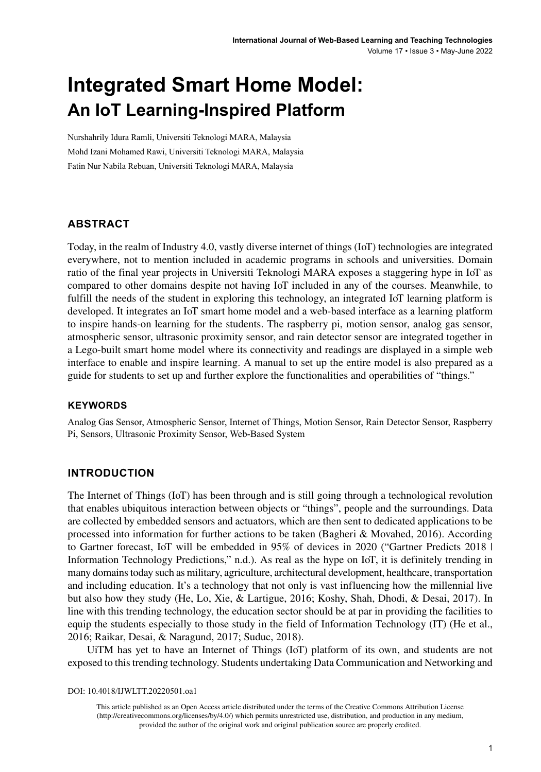# **Integrated Smart Home Model: An IoT Learning-Inspired Platform**

Nurshahrily Idura Ramli, Universiti Teknologi MARA, Malaysia Mohd Izani Mohamed Rawi, Universiti Teknologi MARA, Malaysia Fatin Nur Nabila Rebuan, Universiti Teknologi MARA, Malaysia

#### **ABSTRACT**

Today, in the realm of Industry 4.0, vastly diverse internet of things (IoT) technologies are integrated everywhere, not to mention included in academic programs in schools and universities. Domain ratio of the final year projects in Universiti Teknologi MARA exposes a staggering hype in IoT as compared to other domains despite not having IoT included in any of the courses. Meanwhile, to fulfill the needs of the student in exploring this technology, an integrated IoT learning platform is developed. It integrates an IoT smart home model and a web-based interface as a learning platform to inspire hands-on learning for the students. The raspberry pi, motion sensor, analog gas sensor, atmospheric sensor, ultrasonic proximity sensor, and rain detector sensor are integrated together in a Lego-built smart home model where its connectivity and readings are displayed in a simple web interface to enable and inspire learning. A manual to set up the entire model is also prepared as a guide for students to set up and further explore the functionalities and operabilities of "things."

#### **Keywords**

Analog Gas Sensor, Atmospheric Sensor, Internet of Things, Motion Sensor, Rain Detector Sensor, Raspberry Pi, Sensors, Ultrasonic Proximity Sensor, Web-Based System

#### **INTRODUCTION**

The Internet of Things (IoT) has been through and is still going through a technological revolution that enables ubiquitous interaction between objects or "things", people and the surroundings. Data are collected by embedded sensors and actuators, which are then sent to dedicated applications to be processed into information for further actions to be taken (Bagheri & Movahed, 2016). According to Gartner forecast, IoT will be embedded in 95% of devices in 2020 ("Gartner Predicts 2018 | Information Technology Predictions," n.d.). As real as the hype on IoT, it is definitely trending in many domains today such as military, agriculture, architectural development, healthcare, transportation and including education. It's a technology that not only is vast influencing how the millennial live but also how they study (He, Lo, Xie, & Lartigue, 2016; Koshy, Shah, Dhodi, & Desai, 2017). In line with this trending technology, the education sector should be at par in providing the facilities to equip the students especially to those study in the field of Information Technology (IT) (He et al., 2016; Raikar, Desai, & Naragund, 2017; Suduc, 2018).

UiTM has yet to have an Internet of Things (IoT) platform of its own, and students are not exposed to this trending technology. Students undertaking Data Communication and Networking and

DOI: 10.4018/IJWLTT.20220501.oa1

This article published as an Open Access article distributed under the terms of the Creative Commons Attribution License (http://creativecommons.org/licenses/by/4.0/) which permits unrestricted use, distribution, and production in any medium, provided the author of the original work and original publication source are properly credited.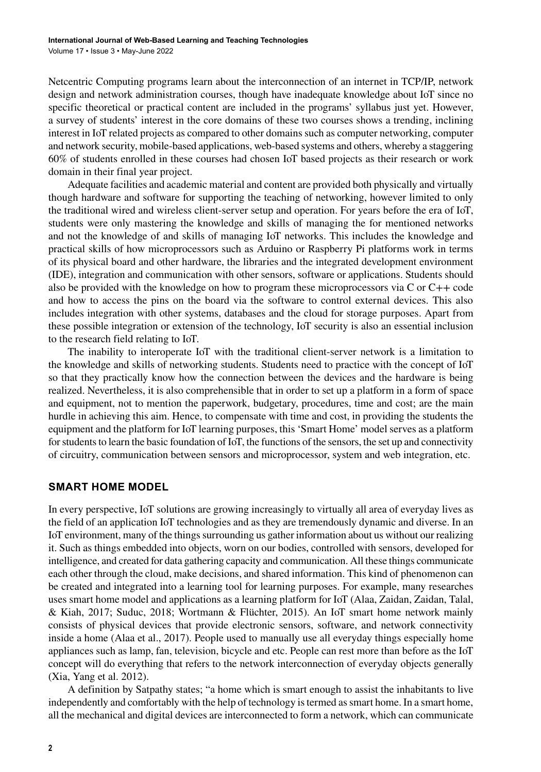Netcentric Computing programs learn about the interconnection of an internet in TCP/IP, network design and network administration courses, though have inadequate knowledge about IoT since no specific theoretical or practical content are included in the programs' syllabus just yet. However, a survey of students' interest in the core domains of these two courses shows a trending, inclining interest in IoT related projects as compared to other domains such as computer networking, computer and network security, mobile-based applications, web-based systems and others, whereby a staggering 60% of students enrolled in these courses had chosen IoT based projects as their research or work domain in their final year project.

Adequate facilities and academic material and content are provided both physically and virtually though hardware and software for supporting the teaching of networking, however limited to only the traditional wired and wireless client-server setup and operation. For years before the era of IoT, students were only mastering the knowledge and skills of managing the for mentioned networks and not the knowledge of and skills of managing IoT networks. This includes the knowledge and practical skills of how microprocessors such as Arduino or Raspberry Pi platforms work in terms of its physical board and other hardware, the libraries and the integrated development environment (IDE), integration and communication with other sensors, software or applications. Students should also be provided with the knowledge on how to program these microprocessors via C or C++ code and how to access the pins on the board via the software to control external devices. This also includes integration with other systems, databases and the cloud for storage purposes. Apart from these possible integration or extension of the technology, IoT security is also an essential inclusion to the research field relating to IoT.

The inability to interoperate IoT with the traditional client-server network is a limitation to the knowledge and skills of networking students. Students need to practice with the concept of IoT so that they practically know how the connection between the devices and the hardware is being realized. Nevertheless, it is also comprehensible that in order to set up a platform in a form of space and equipment, not to mention the paperwork, budgetary, procedures, time and cost; are the main hurdle in achieving this aim. Hence, to compensate with time and cost, in providing the students the equipment and the platform for IoT learning purposes, this 'Smart Home' model serves as a platform for students to learn the basic foundation of IoT, the functions of the sensors, the set up and connectivity of circuitry, communication between sensors and microprocessor, system and web integration, etc.

#### **SMART HOME MODEL**

In every perspective, IoT solutions are growing increasingly to virtually all area of everyday lives as the field of an application IoT technologies and as they are tremendously dynamic and diverse. In an IoT environment, many of the things surrounding us gather information about us without our realizing it. Such as things embedded into objects, worn on our bodies, controlled with sensors, developed for intelligence, and created for data gathering capacity and communication. All these things communicate each other through the cloud, make decisions, and shared information. This kind of phenomenon can be created and integrated into a learning tool for learning purposes. For example, many researches uses smart home model and applications as a learning platform for IoT (Alaa, Zaidan, Zaidan, Talal, & Kiah, 2017; Suduc, 2018; Wortmann & Flüchter, 2015). An IoT smart home network mainly consists of physical devices that provide electronic sensors, software, and network connectivity inside a home (Alaa et al., 2017). People used to manually use all everyday things especially home appliances such as lamp, fan, television, bicycle and etc. People can rest more than before as the IoT concept will do everything that refers to the network interconnection of everyday objects generally (Xia, Yang et al. 2012).

A definition by Satpathy states; "a home which is smart enough to assist the inhabitants to live independently and comfortably with the help of technology is termed as smart home. In a smart home, all the mechanical and digital devices are interconnected to form a network, which can communicate